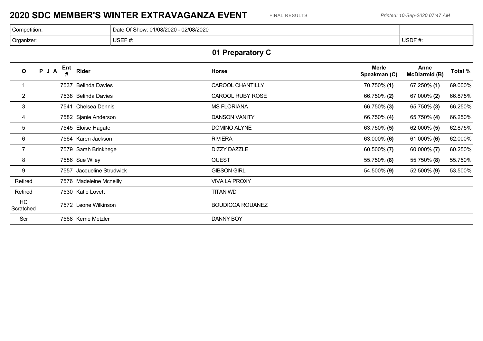### **2020 SDC MEMBER'S WINTER EXTRAVAGANZA EVENT** FINAL RESULTS *Printed: 10-Sep-2020 07:47 AM*

| Competition: | 02/08/2020<br>Of Show:<br>01/08/2020<br>Date |        |
|--------------|----------------------------------------------|--------|
| Organizer:   | USEF#:                                       | USDF#: |

# **01 Preparatory C**

| $\mathbf{o}$           | PJA | Ent<br># | <b>Rider</b>            | Horse                   | <b>Merle</b><br>Speakman (C) | Anne<br><b>McDiarmid (B)</b> | Total % |
|------------------------|-----|----------|-------------------------|-------------------------|------------------------------|------------------------------|---------|
|                        |     |          | 7537 Belinda Davies     | <b>CAROOL CHANTILLY</b> | 70.750% (1)                  | $67.250\%$ (1)               | 69.000% |
| $\overline{2}$         |     |          | 7538 Belinda Davies     | CAROOL RUBY ROSE        | 66.750% (2)                  | 67.000% (2)                  | 66.875% |
| $\mathbf{3}$           |     |          | 7541 Chelsea Dennis     | <b>MS FLORIANA</b>      | 66.750% (3)                  | 65.750% (3)                  | 66.250% |
| 4                      |     |          | 7582 Sjanie Anderson    | <b>DANSON VANITY</b>    | 66.750% (4)                  | 65.750% (4)                  | 66.250% |
| 5                      |     |          | 7545 Eloise Hagate      | DOMINO ALYNE            | 63.750% (5)                  | $62.000\%$ (5)               | 62.875% |
| $6\phantom{.}6$        |     |          | 7564 Karen Jackson      | <b>RIVIERA</b>          | 63.000% (6)                  | 61.000% (6)                  | 62.000% |
| $\overline{7}$         |     |          | 7579 Sarah Brinkhege    | <b>DIZZY DAZZLE</b>     | 60.500% (7)                  | $60.000\%$ (7)               | 60.250% |
| 8                      |     |          | 7586 Sue Wiley          | <b>QUEST</b>            | 55.750% (8)                  | 55.750% (8)                  | 55.750% |
| 9                      |     | 7557     | Jacqueline Strudwick    | <b>GIBSON GIRL</b>      | 54.500% (9)                  | 52.500% (9)                  | 53.500% |
| Retired                |     |          | 7576 Madeleine Mcneilly | <b>VIVA LA PROXY</b>    |                              |                              |         |
| Retired                |     |          | 7530 Katie Lovett       | TITAN WD                |                              |                              |         |
| <b>HC</b><br>Scratched |     |          | 7572 Leone Wilkinson    | <b>BOUDICCA ROUANEZ</b> |                              |                              |         |
| Scr                    |     |          | 7568 Kerrie Metzler     | DANNY BOY               |                              |                              |         |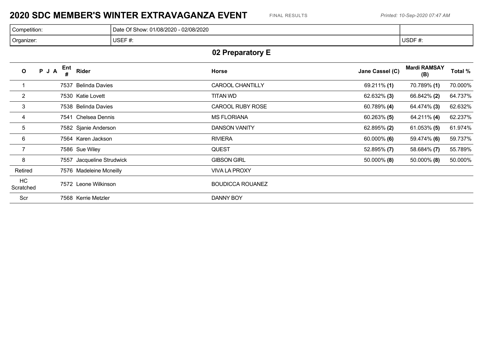### **2020 SDC MEMBER'S WINTER EXTRAVAGANZA EVENT** FINAL RESULTS *Printed: 10-Sep-2020 07:47 AM*

| Competition: | 02/08/2020<br>Of Show:<br>01/08/2020<br>Date |             |
|--------------|----------------------------------------------|-------------|
| Organizer:   | USEF#:                                       | USDF#<br>π. |

# **02 Preparatory E**

| $\mathbf{o}$    | Ent<br>PJA<br># | Rider                   | Horse                   | Jane Cassel (C) | <b>Mardi RAMSAY</b><br>(B) | Total % |
|-----------------|-----------------|-------------------------|-------------------------|-----------------|----------------------------|---------|
|                 | 7537            | <b>Belinda Davies</b>   | <b>CAROOL CHANTILLY</b> | $69.211\%$ (1)  | 70.789% (1)                | 70.000% |
| $\overline{2}$  |                 | 7530 Katie Lovett       | TITAN WD                | $62.632\%$ (3)  | 66.842% (2)                | 64.737% |
| 3               |                 | 7538 Belinda Davies     | <b>CAROOL RUBY ROSE</b> | 60.789% (4)     | 64.474% (3)                | 62.632% |
| 4               |                 | 7541 Chelsea Dennis     | <b>MS FLORIANA</b>      | $60.263\%$ (5)  | 64.211% (4)                | 62.237% |
| 5               |                 | 7582 Sjanie Anderson    | <b>DANSON VANITY</b>    | 62.895% (2)     | $61.053\%$ (5)             | 61.974% |
| 6               |                 | 7564 Karen Jackson      | <b>RIVIERA</b>          | $60.000\%$ (6)  | 59.474% (6)                | 59.737% |
| $\overline{7}$  |                 | 7586 Sue Wiley          | <b>QUEST</b>            | 52.895% (7)     | 58.684% (7)                | 55.789% |
| 8               | 7557            | Jacqueline Strudwick    | <b>GIBSON GIRL</b>      | 50.000% (8)     | $50.000\%$ (8)             | 50.000% |
| Retired         |                 | 7576 Madeleine Mcneilly | <b>VIVA LA PROXY</b>    |                 |                            |         |
| HC<br>Scratched |                 | 7572 Leone Wilkinson    | <b>BOUDICCA ROUANEZ</b> |                 |                            |         |
| Scr             |                 | 7568 Kerrie Metzler     | <b>DANNY BOY</b>        |                 |                            |         |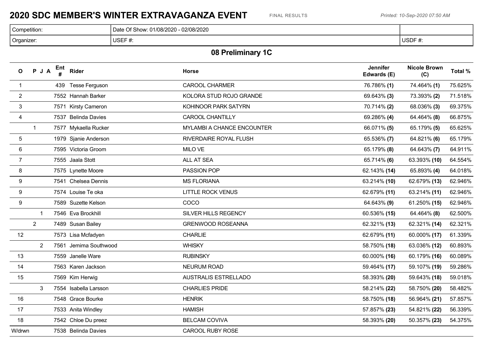### **2020 SDC MEMBER'S WINTER EXTRAVAGANZA EVENT** FINAL RESULTS *Printed: 10-Sep-2020 07:50 AM*

| Competition:<br>. | : 01/08/2020 - 02/08/2020<br>$\cap$ f Show: $\circ$ .<br>Da |             |
|-------------------|-------------------------------------------------------------|-------------|
| Organizer:        | USEF#:                                                      | USDF#<br>₩. |

# **08 Preliminary 1C**

| $\mathbf{o}$    | PJA            | Ent | Rider                 | <b>Horse</b>               | <b>Jennifer</b><br>Edwards (E) | <b>Nicole Brown</b><br>(C) | Total % |
|-----------------|----------------|-----|-----------------------|----------------------------|--------------------------------|----------------------------|---------|
| $\mathbf{1}$    |                |     | 439 Tesse Ferguson    | <b>CAROOL CHARMER</b>      | 76.786% (1)                    | 74.464% (1)                | 75.625% |
| $\overline{2}$  |                |     | 7552 Hannah Barker    | KOLORA STUD ROJO GRANDE    | 69.643% (3)                    | 73.393% (2)                | 71.518% |
| $\mathbf{3}$    |                |     | 7571 Kirsty Cameron   | KOHINOOR PARK SATYRN       | 70.714% (2)                    | 68.036% (3)                | 69.375% |
| $\overline{4}$  |                |     | 7537 Belinda Davies   | <b>CAROOL CHANTILLY</b>    | 69.286% (4)                    | 64.464% (8)                | 66.875% |
|                 | $\mathbf{1}$   |     | 7577 Mykaella Rucker  | MYLAMBI A CHANCE ENCOUNTER | 66.071% (5)                    | 65.179% (5)                | 65.625% |
| $5\phantom{.0}$ |                |     | 1979 Sjanie Anderson  | RIVERDAIRE ROYAL FLUSH     | 65.536% (7)                    | 64.821% (6)                | 65.179% |
| 6               |                |     | 7595 Victoria Groom   | MILO VE                    | 65.179% (8)                    | 64.643% (7)                | 64.911% |
| $\overline{7}$  |                |     | 7555 Jaala Stott      | ALL AT SEA                 | 65.714% (6)                    | 63.393% (10)               | 64.554% |
| 8               |                |     | 7575 Lynette Moore    | PASSION POP                | 62.143% (14)                   | 65.893% (4)                | 64.018% |
| $9\,$           |                |     | 7541 Chelsea Dennis   | <b>MS FLORIANA</b>         | 63.214% (10)                   | 62.679% (13)               | 62.946% |
| 9               |                |     | 7574 Louise Te oka    | <b>LITTLE ROCK VENUS</b>   | 62.679% (11)                   | 63.214% (11)               | 62.946% |
| 9               |                |     | 7589 Suzette Kelson   | COCO                       | 64.643% (9)                    | 61.250% (15)               | 62.946% |
|                 | $\mathbf{1}$   |     | 7546 Eva Brockhill    | SILVER HILLS REGENCY       | 60.536% (15)                   | 64.464% (8)                | 62.500% |
|                 | $2^{\circ}$    |     | 7489 Susan Bailey     | <b>GRENWOOD ROSEANNA</b>   | 62.321% (13)                   | 62.321% (14)               | 62.321% |
| 12              |                |     | 7573 Lisa Mcfadyen    | <b>CHARLIE</b>             | 62.679% (11)                   | 60.000% (17)               | 61.339% |
|                 | $\overline{2}$ |     | 7561 Jemima Southwood | <b>WHISKY</b>              | 58.750% (18)                   | 63.036% (12)               | 60.893% |
| 13              |                |     | 7559 Janelle Ware     | <b>RUBINSKY</b>            | 60.000% (16)                   | 60.179% (16)               | 60.089% |
| 14              |                |     | 7563 Karen Jackson    | <b>NEURUM ROAD</b>         | 59.464% (17)                   | 59.107% (19)               | 59.286% |
| 15              |                |     | 7569 Kim Herwig       | AUSTRALIS ESTRELLADO       | 58.393% (20)                   | 59.643% (18)               | 59.018% |
|                 | 3              |     | 7554 Isabella Larsson | <b>CHARLIES PRIDE</b>      | 58.214% (22)                   | 58.750% (20)               | 58.482% |
| 16              |                |     | 7548 Grace Bourke     | <b>HENRIK</b>              | 58.750% (18)                   | 56.964% (21)               | 57.857% |
| 17              |                |     | 7533 Anita Windley    | <b>HAMISH</b>              | 57.857% (23)                   | 54.821% (22)               | 56.339% |
| 18              |                |     | 7542 Chloe Du preez   | <b>BELCAM COVIVA</b>       | 58.393% (20)                   | 50.357% (23)               | 54.375% |
| W/drwn          |                |     | 7538 Belinda Davies   | CAROOL RUBY ROSE           |                                |                            |         |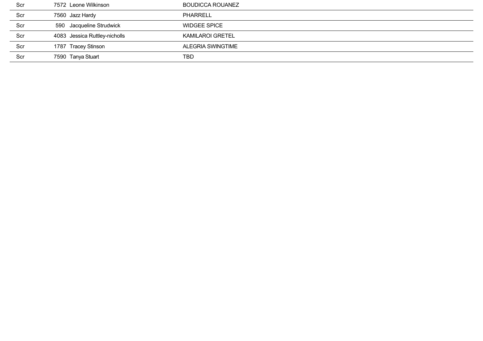| Scr | 7572 Leone Wilkinson          | <b>BOUDICCA ROUANEZ</b> |
|-----|-------------------------------|-------------------------|
| Scr | 7560 Jazz Hardy               | <b>PHARRELL</b>         |
| Scr | 590 Jacqueline Strudwick      | <b>WIDGEE SPICE</b>     |
| Scr | 4083 Jessica Ruttley-nicholls | <b>KAMILAROI GRETEL</b> |
| Scr | 1787 Tracey Stinson           | ALEGRIA SWINGTIME       |
| Scr | 7590 Tanya Stuart             | TBD                     |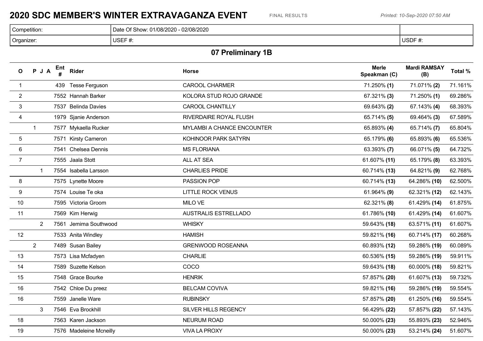### **2020 SDC MEMBER'S WINTER EXTRAVAGANZA EVENT** FINAL RESULTS *Printed: 10-Sep-2020 07:50 AM*

| Competition: | 02/08/2020<br>2000<br>∼<br>)ate<br>. Show<br>. U I/Uō/ZUZU |                      |
|--------------|------------------------------------------------------------|----------------------|
| Organizer:   | USEF $#$<br>. .                                            | $I$ SDE #<br>USUF #. |

# **07 Preliminary 1B**

| $\mathbf{o}$   | PJA            | Ent | Rider                   | <b>Horse</b>                | <b>Merle</b><br>Speakman (C) | <b>Mardi RAMSAY</b><br>(B) | Total % |
|----------------|----------------|-----|-------------------------|-----------------------------|------------------------------|----------------------------|---------|
| $\mathbf{1}$   |                |     | 439 Tesse Ferguson      | <b>CAROOL CHARMER</b>       | 71.250% (1)                  | 71.071% (2)                | 71.161% |
| $\overline{2}$ |                |     | 7552 Hannah Barker      | KOLORA STUD ROJO GRANDE     | 67.321% (3)                  | 71.250% (1)                | 69.286% |
| $\mathbf{3}$   |                |     | 7537 Belinda Davies     | <b>CAROOL CHANTILLY</b>     | 69.643% (2)                  | 67.143% (4)                | 68.393% |
| $\overline{4}$ |                |     | 1979 Sjanie Anderson    | RIVERDAIRE ROYAL FLUSH      | 65.714% (5)                  | 69.464% (3)                | 67.589% |
|                | $\mathbf{1}$   |     | 7577 Mykaella Rucker    | MYLAMBI A CHANCE ENCOUNTER  | 65.893% (4)                  | 65.714% (7)                | 65.804% |
| 5              |                |     | 7571 Kirsty Cameron     | KOHINOOR PARK SATYRN        | 65.179% (6)                  | 65.893% (6)                | 65.536% |
| $\,6\,$        |                |     | 7541 Chelsea Dennis     | <b>MS FLORIANA</b>          | 63.393% (7)                  | 66.071% (5)                | 64.732% |
| $\overline{7}$ |                |     | 7555 Jaala Stott        | ALL AT SEA                  | 61.607% (11)                 | 65.179% (8)                | 63.393% |
|                | $\mathbf 1$    |     | 7554 Isabella Larsson   | <b>CHARLIES PRIDE</b>       | 60.714% (13)                 | 64.821% (9)                | 62.768% |
| 8              |                |     | 7575 Lynette Moore      | PASSION POP                 | 60.714% (13)                 | 64.286% (10)               | 62.500% |
| 9              |                |     | 7574 Louise Te oka      | <b>LITTLE ROCK VENUS</b>    | 61.964% (9)                  | 62.321% (12)               | 62.143% |
| 10             |                |     | 7595 Victoria Groom     | MILO VE                     | 62.321% (8)                  | 61.429% (14)               | 61.875% |
| 11             |                |     | 7569 Kim Herwig         | <b>AUSTRALIS ESTRELLADO</b> | 61.786% (10)                 | 61.429% (14)               | 61.607% |
|                | $\overline{2}$ |     | 7561 Jemima Southwood   | <b>WHISKY</b>               | 59.643% (18)                 | 63.571% (11)               | 61.607% |
| 12             |                |     | 7533 Anita Windley      | <b>HAMISH</b>               | 59.821% (16)                 | 60.714% (17)               | 60.268% |
|                | $2^{\circ}$    |     | 7489 Susan Bailey       | <b>GRENWOOD ROSEANNA</b>    | 60.893% (12)                 | 59.286% (19)               | 60.089% |
| 13             |                |     | 7573 Lisa Mcfadyen      | CHARLIE                     | 60.536% (15)                 | 59.286% (19)               | 59.911% |
| 14             |                |     | 7589 Suzette Kelson     | COCO                        | 59.643% (18)                 | 60.000% (18)               | 59.821% |
| 15             |                |     | 7548 Grace Bourke       | <b>HENRIK</b>               | 57.857% (20)                 | 61.607% (13)               | 59.732% |
| 16             |                |     | 7542 Chloe Du preez     | <b>BELCAM COVIVA</b>        | 59.821% (16)                 | 59.286% (19)               | 59.554% |
| 16             |                |     | 7559 Janelle Ware       | <b>RUBINSKY</b>             | 57.857% (20)                 | 61.250% (16)               | 59.554% |
|                | 3              |     | 7546 Eva Brockhill      | SILVER HILLS REGENCY        | 56.429% (22)                 | 57.857% (22)               | 57.143% |
| 18             |                |     | 7563 Karen Jackson      | <b>NEURUM ROAD</b>          | 50.000% (23)                 | 55.893% (23)               | 52.946% |
| 19             |                |     | 7576 Madeleine Mcneilly | <b>VIVA LA PROXY</b>        | 50.000% (23)                 | 53.214% (24)               | 51.607% |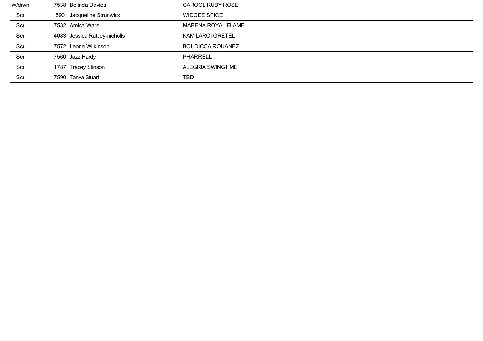| W/drwn | 7538 Belinda Davies           | CAROOL RUBY ROSE        |
|--------|-------------------------------|-------------------------|
| Scr    | 590 Jacqueline Strudwick      | <b>WIDGEE SPICE</b>     |
| Scr    | 7532 Amica Ware               | MARENA ROYAL FLAME      |
| Scr    | 4083 Jessica Ruttley-nicholls | <b>KAMILAROI GRETEL</b> |
| Scr    | 7572 Leone Wilkinson          | <b>BOUDICCA ROUANEZ</b> |
| Scr    | 7560 Jazz Hardy               | <b>PHARRELL</b>         |
| Scr    | 1787 Tracey Stinson           | ALEGRIA SWINGTIME       |
| Scr    | 7590 Tanya Stuart             | TBD                     |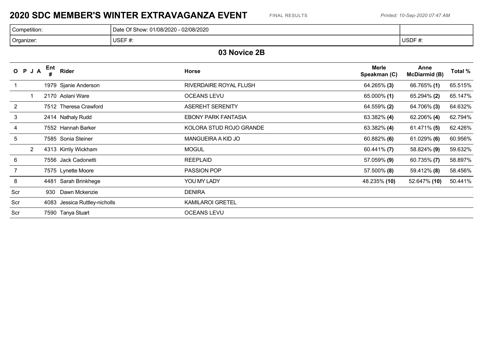### **2020 SDC MEMBER'S WINTER EXTRAVAGANZA EVENT** FINAL RESULTS *Printed: 10-Sep-2020 07:47 AM*

| Competition: | 02/08/2020<br>Show:<br>/08/2020<br>Date<br>1700Z |                                       |
|--------------|--------------------------------------------------|---------------------------------------|
| Organizer:   | $\sim$<br>USEI<br>$\boldsymbol{\pi}$ .           | <b>USDF</b><br>า∟ <del>ภ</del><br>TT. |

#### **03 Novice 2B**

|       | O P J A        | Ent<br># | <b>Rider</b>                  | <b>Horse</b>               | <b>Merle</b><br>Speakman (C) | Anne<br><b>McDiarmid (B)</b> | Total % |
|-------|----------------|----------|-------------------------------|----------------------------|------------------------------|------------------------------|---------|
|       |                |          | 1979 Sjanie Anderson          | RIVERDAIRE ROYAL FLUSH     | 64.265% (3)                  | 66.765% (1)                  | 65.515% |
|       |                |          | 2170 Aolani Ware              | <b>OCEANS LEVU</b>         | 65.000% (1)                  | 65.294% (2)                  | 65.147% |
| 2     |                |          | 7512 Theresa Crawford         | <b>ASEREHT SERENITY</b>    | 64.559% (2)                  | 64.706% (3)                  | 64.632% |
| 3     |                |          | 2414 Nathaly Rudd             | <b>EBONY PARK FANTASIA</b> | 63.382% (4)                  | 62.206% (4)                  | 62.794% |
| 4     |                |          | 7552 Hannah Barker            | KOLORA STUD ROJO GRANDE    | 63.382% (4)                  | 61.471% (5)                  | 62.426% |
| 5     |                |          | 7585 Sonia Steiner            | MANGUEIRA A KID JO         | $60.882\%$ (6)               | $61.029\%$ (6)               | 60.956% |
|       | $\overline{2}$ |          | 4313 Kirrily Wickham          | <b>MOGUL</b>               | $60.441\%$ (7)               | 58.824% (9)                  | 59.632% |
| $\,6$ |                |          | 7556 Jack Cadonetti           | <b>REEPLAID</b>            | 57.059% (9)                  | $60.735\%$ (7)               | 58.897% |
| 7     |                |          | 7575 Lynette Moore            | PASSION POP                | 57.500% (8)                  | 59.412% (8)                  | 58.456% |
| 8     |                |          | 4481 Sarah Brinkhege          | YOU MY LADY                | 48.235% (10)                 | 52.647% (10)                 | 50.441% |
| Scr   |                | 930      | Dawn Mckenzie                 | <b>DENIRA</b>              |                              |                              |         |
| Scr   |                |          | 4083 Jessica Ruttley-nicholls | <b>KAMILAROI GRETEL</b>    |                              |                              |         |
| Scr   |                |          | 7590 Tanya Stuart             | <b>OCEANS LEVU</b>         |                              |                              |         |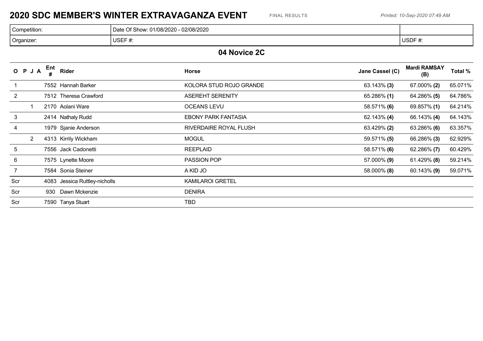### **2020 SDC MEMBER'S WINTER EXTRAVAGANZA EVENT** FINAL RESULTS *Printed: 10-Sep-2020 07:49 AM*

| Competition: | $-02/08/2020$<br><b>01/08/2020</b><br>Date<br>Of Show: |                   |
|--------------|--------------------------------------------------------|-------------------|
| Organizer:   | USEF#<br>$\boldsymbol{\pi}$ .                          | USDF #<br>$\pi$ . |

#### **04 Novice 2C**

|                | O P J A        | Ent<br># | Rider                         | <b>Horse</b>               | Jane Cassel (C) | <b>Mardi RAMSAY</b><br>(B) | Total % |
|----------------|----------------|----------|-------------------------------|----------------------------|-----------------|----------------------------|---------|
|                |                |          | 7552 Hannah Barker            | KOLORA STUD ROJO GRANDE    | $63.143\%$ (3)  | 67.000% (2)                | 65.071% |
| $\overline{2}$ |                |          | 7512 Theresa Crawford         | <b>ASEREHT SERENITY</b>    | 65.286% (1)     | 64.286% (5)                | 64.786% |
|                |                |          | 2170 Aolani Ware              | <b>OCEANS LEVU</b>         | 58.571% (6)     | 69.857% (1)                | 64.214% |
| 3              |                |          | 2414 Nathaly Rudd             | <b>EBONY PARK FANTASIA</b> | $62.143\%$ (4)  | 66.143% (4)                | 64.143% |
| 4              |                |          | 1979 Sjanie Anderson          | RIVERDAIRE ROYAL FLUSH     | 63.429% (2)     | 63.286% (6)                | 63.357% |
|                | $\overline{2}$ |          | 4313 Kirrily Wickham          | <b>MOGUL</b>               | 59.571% (5)     | 66.286% (3)                | 62.929% |
| 5              |                |          | 7556 Jack Cadonetti           | <b>REEPLAID</b>            | 58.571% (6)     | 62.286% (7)                | 60.429% |
| 6              |                |          | 7575 Lynette Moore            | <b>PASSION POP</b>         | 57.000% (9)     | $61.429\%$ (8)             | 59.214% |
|                |                |          | 7584 Sonia Steiner            | A KID JO                   | 58.000% (8)     | $60.143\%$ (9)             | 59.071% |
| Scr            |                |          | 4083 Jessica Ruttley-nicholls | <b>KAMILAROI GRETEL</b>    |                 |                            |         |
| Scr            |                | 930      | Dawn Mckenzie                 | <b>DENIRA</b>              |                 |                            |         |
| Scr            |                |          | 7590 Tanya Stuart             | <b>TBD</b>                 |                 |                            |         |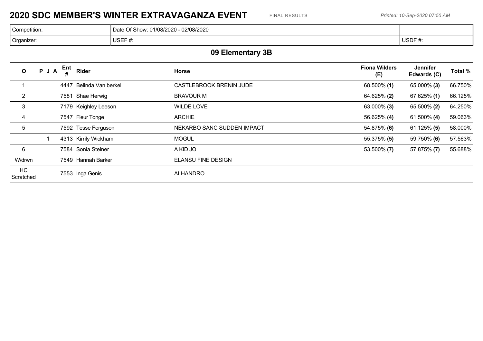### **2020 SDC MEMBER'S WINTER EXTRAVAGANZA EVENT** FINAL RESULTS *Printed: 10-Sep-2020 07:50 AM*

| Competition: | 02/08/2020<br>া Show.<br>.01/08/2020<br>Date |                |
|--------------|----------------------------------------------|----------------|
| Organizer:   | <b>USEF</b><br>- +<br>$\boldsymbol{\pi}$ .   | USDF *<br>- #. |

# **09 Elementary 3B**

| $\mathbf{o}$    | PJA | Ent  | Rider                | <b>Horse</b>               | <b>Fiona Wilders</b><br>(E) | Jennifer<br>Edwards (C) | Total % |
|-----------------|-----|------|----------------------|----------------------------|-----------------------------|-------------------------|---------|
|                 |     | 4447 | Belinda Van berkel   | CASTLEBROOK BRENIN JUDE    | 68.500% (1)                 | 65.000% (3)             | 66.750% |
| $\overline{2}$  |     | 7581 | Shae Herwig          | <b>BRAVOUR M</b>           | 64.625% (2)                 | 67.625% (1)             | 66.125% |
| 3               |     |      | 7179 Keighley Leeson | <b>WILDE LOVE</b>          | $63.000\%$ (3)              | 65.500% (2)             | 64.250% |
| 4               |     |      | 7547 Fleur Tonge     | <b>ARCHIE</b>              | 56.625% (4)                 | 61.500% (4)             | 59.063% |
| 5               |     |      | 7592 Tesse Ferguson  | NEKARBO SANC SUDDEN IMPACT | 54.875% (6)                 | $61.125\%$ (5)          | 58.000% |
|                 |     |      | 4313 Kirrily Wickham | <b>MOGUL</b>               | 55.375% (5)                 | 59.750% (6)             | 57.563% |
| 6               |     |      | 7584 Sonia Steiner   | A KID JO                   | 53.500% (7)                 | 57.875% (7)             | 55.688% |
| W/drwn          |     |      | 7549 Hannah Barker   | <b>ELANSU FINE DESIGN</b>  |                             |                         |         |
| HC<br>Scratched |     |      | 7553 Inga Genis      | <b>ALHANDRO</b>            |                             |                         |         |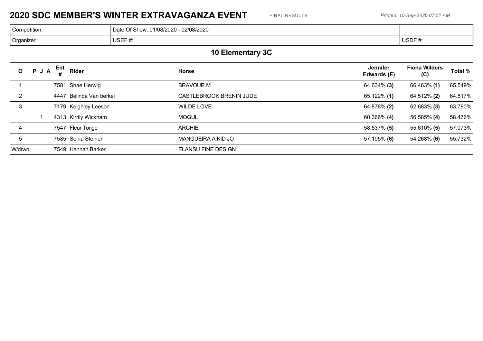### **2020 SDC MEMBER'S WINTER EXTRAVAGANZA EVENT** FINAL RESULTS *Printed: 10-Sep-2020 07:51 AM*

| Competition | 02/08/2020<br>.01/08/2020<br>Of Show: 01<br>Date |              |
|-------------|--------------------------------------------------|--------------|
| Organizer:  | <b>USEF</b><br>π.                                | USDF #<br>π. |

# **10 Elementary 3C**

| $\mathbf{O}$ | PJA | Ent  | Rider                | <b>Horse</b>                   | <b>Jennifer</b><br>Edwards (E) | <b>Fiona Wilders</b><br>(C) | Total % |
|--------------|-----|------|----------------------|--------------------------------|--------------------------------|-----------------------------|---------|
|              |     |      | 7581 Shae Herwig     | <b>BRAVOUR M</b>               | 64.634% (3)                    | 66.463% (1)                 | 65.549% |
| $\mathbf{2}$ |     | 4447 | Belinda Van berkel   | <b>CASTLEBROOK BRENIN JUDE</b> | $65.122\%$ (1)                 | 64.512% (2)                 | 64.817% |
| 3            |     |      | 7179 Keighley Leeson | WILDE LOVE                     | 64.878% (2)                    | 62.683% (3)                 | 63.780% |
|              |     |      | 4313 Kirrily Wickham | <b>MOGUL</b>                   | $60.366\%$ (4)                 | 56.585% (4)                 | 58.476% |
| 4            |     |      | 7547 Fleur Tonge     | <b>ARCHIE</b>                  | 58.537% (5)                    | 55.610% (5)                 | 57.073% |
| 5            |     |      | 7585 Sonia Steiner   | MANGUEIRA A KID JO             | $57.195\%$ (6)                 | 54.268% (6)                 | 55.732% |
| W/drwn       |     |      | 7549 Hannah Barker   | <b>ELANSU FINE DESIGN</b>      |                                |                             |         |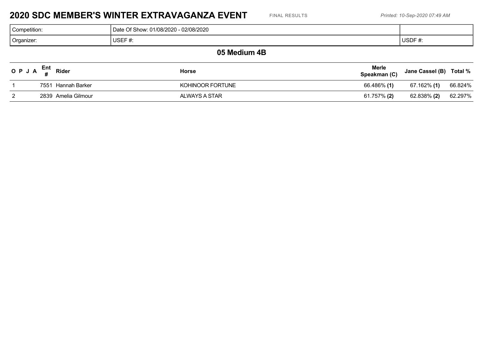#### **2020 SDC MEMBER'S WINTER EXTRAVAGANZA EVENT** FINAL RESULTS *Printed: 10-Sep-2020 07:49 AM*

| <sup>1</sup> Competition. | 02/08/2020<br>01/08/2020<br>ി Show: പ<br>.)ate |             |
|---------------------------|------------------------------------------------|-------------|
| <sup>1</sup> Organizer:   | ICEF<br><b>UULI</b> 17.<br>___                 | USDF#<br>₩. |
|                           |                                                |             |

#### **05 Medium 4B**

| O P J A $_{\rm H}^{\rm Ent}$ Rider | <b>Horse</b>     | Merle<br>Speakman (C) | Jane Cassel (B) Total % |         |
|------------------------------------|------------------|-----------------------|-------------------------|---------|
| 7551 Hannah Barker                 | KOHINOOR FORTUNE | 66.486% (1)           | 67.162% (1)             | 66.824% |
| 2839 Amelia Gilmour                | ALWAYS A STAR    | 61.757% (2)           | 62.838% (2)             | 62.297% |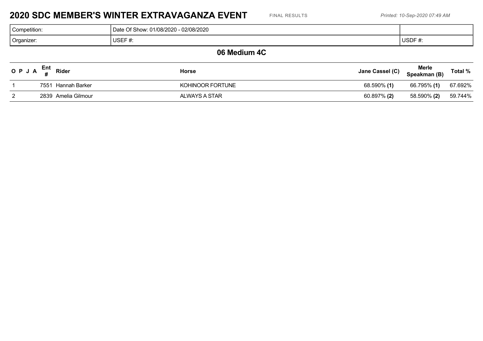#### **2020 SDC MEMBER'S WINTER EXTRAVAGANZA EVENT** FINAL RESULTS *Printed: 10-Sep-2020 07:49 AM*

| Competition | 02/08/2020<br>Show:<br>. 01/08/2020<br>Date<br>1/08/2020 |        |
|-------------|----------------------------------------------------------|--------|
| Organizer:  | $110F + \mu$<br>1 I C I<br><b>UULI</b> #.                | USDF#: |
|             |                                                          |        |

#### **06 Medium 4C**

| O P J A $\frac{1}{4}$ | Ent<br>Rider        | <b>Horse</b>     | Jane Cassel (C) | <b>Merle</b><br>Speakman (B) | Total % |
|-----------------------|---------------------|------------------|-----------------|------------------------------|---------|
|                       | 7551 Hannah Barker  | KOHINOOR FORTUNE | 68.590% (1)     | 66.795% (1)                  | 67.692% |
|                       | 2839 Amelia Gilmour | ALWAYS A STAR    | 60.897% (2)     | 58.590% (2)                  | 59.744% |